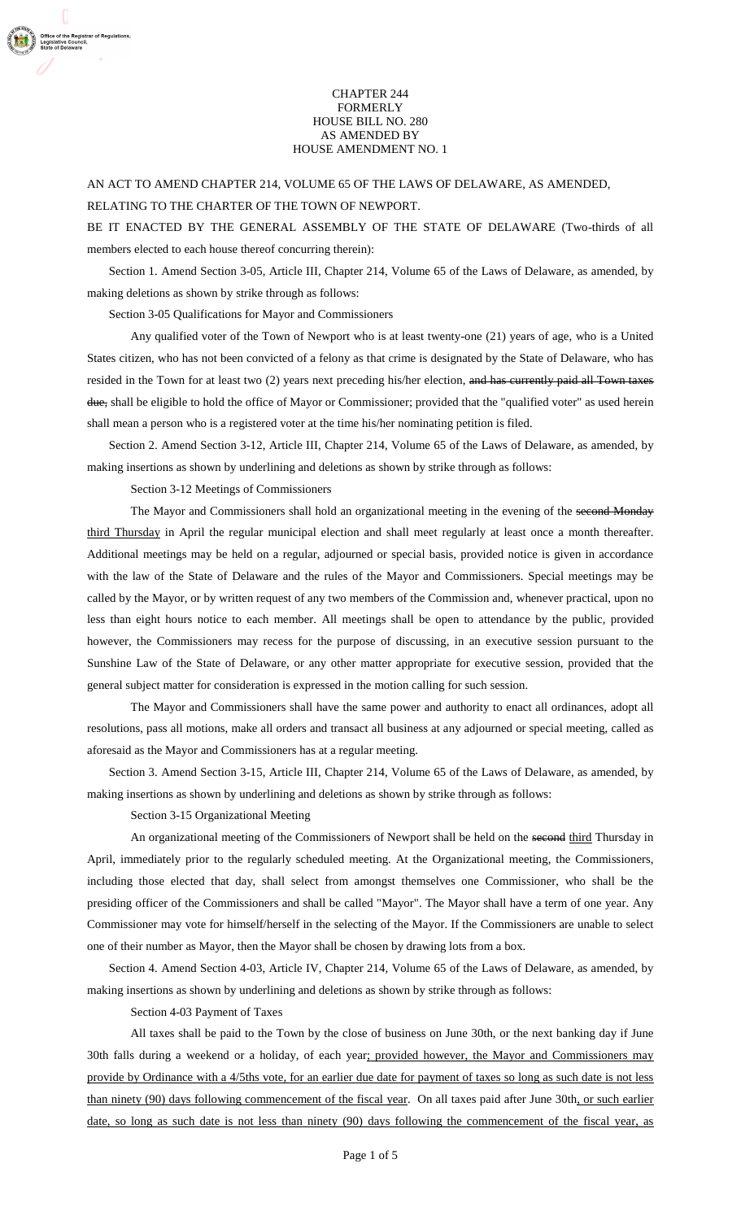## CHAPTER 244 FORMERLY HOUSE BILL NO. 280 AS AMENDED BY HOUSE AMENDMENT NO. 1

AN ACT TO AMEND CHAPTER 214, VOLUME 65 OF THE LAWS OF DELAWARE, AS AMENDED, RELATING TO THE CHARTER OF THE TOWN OF NEWPORT.

BE IT ENACTED BY THE GENERAL ASSEMBLY OF THE STATE OF DELAWARE (Two-thirds of all members elected to each house thereof concurring therein):

Section 1. Amend Section 3-05, Article III, Chapter 214, Volume 65 of the Laws of Delaware, as amended, by making deletions as shown by strike through as follows:

Section 3-05 Qualifications for Mayor and Commissioners

Any qualified voter of the Town of Newport who is at least twenty-one (21) years of age, who is a United States citizen, who has not been convicted of a felony as that crime is designated by the State of Delaware, who has resided in the Town for at least two (2) years next preceding his/her election, and has currently paid all Town taxes due, shall be eligible to hold the office of Mayor or Commissioner; provided that the "qualified voter" as used herein shall mean a person who is a registered voter at the time his/her nominating petition is filed.

Section 2. Amend Section 3-12, Article III, Chapter 214, Volume 65 of the Laws of Delaware, as amended, by making insertions as shown by underlining and deletions as shown by strike through as follows:

Section 3-12 Meetings of Commissioners

The Mayor and Commissioners shall hold an organizational meeting in the evening of the second Monday third Thursday in April the regular municipal election and shall meet regularly at least once a month thereafter. Additional meetings may be held on a regular, adjourned or special basis, provided notice is given in accordance with the law of the State of Delaware and the rules of the Mayor and Commissioners. Special meetings may be called by the Mayor, or by written request of any two members of the Commission and, whenever practical, upon no less than eight hours notice to each member. All meetings shall be open to attendance by the public, provided however, the Commissioners may recess for the purpose of discussing, in an executive session pursuant to the Sunshine Law of the State of Delaware, or any other matter appropriate for executive session, provided that the general subject matter for consideration is expressed in the motion calling for such session.

The Mayor and Commissioners shall have the same power and authority to enact all ordinances, adopt all resolutions, pass all motions, make all orders and transact all business at any adjourned or special meeting, called as aforesaid as the Mayor and Commissioners has at a regular meeting.

Section 3. Amend Section 3-15, Article III, Chapter 214, Volume 65 of the Laws of Delaware, as amended, by making insertions as shown by underlining and deletions as shown by strike through as follows:

Section 3-15 Organizational Meeting

An organizational meeting of the Commissioners of Newport shall be held on the second third Thursday in April, immediately prior to the regularly scheduled meeting. At the Organizational meeting, the Commissioners, including those elected that day, shall select from amongst themselves one Commissioner, who shall be the presiding officer of the Commissioners and shall be called "Mayor". The Mayor shall have a term of one year. Any Commissioner may vote for himself/herself in the selecting of the Mayor. If the Commissioners are unable to select one of their number as Mayor, then the Mayor shall be chosen by drawing lots from a box.

Section 4. Amend Section 4-03, Article IV, Chapter 214, Volume 65 of the Laws of Delaware, as amended, by making insertions as shown by underlining and deletions as shown by strike through as follows:

Section 4-03 Payment of Taxes

All taxes shall be paid to the Town by the close of business on June 30th, or the next banking day if June 30th falls during a weekend or a holiday, of each year; provided however, the Mayor and Commissioners may provide by Ordinance with a 4/5ths vote, for an earlier due date for payment of taxes so long as such date is not less than ninety (90) days following commencement of the fiscal year. On all taxes paid after June 30th, or such earlier date, so long as such date is not less than ninety (90) days following the commencement of the fiscal year, as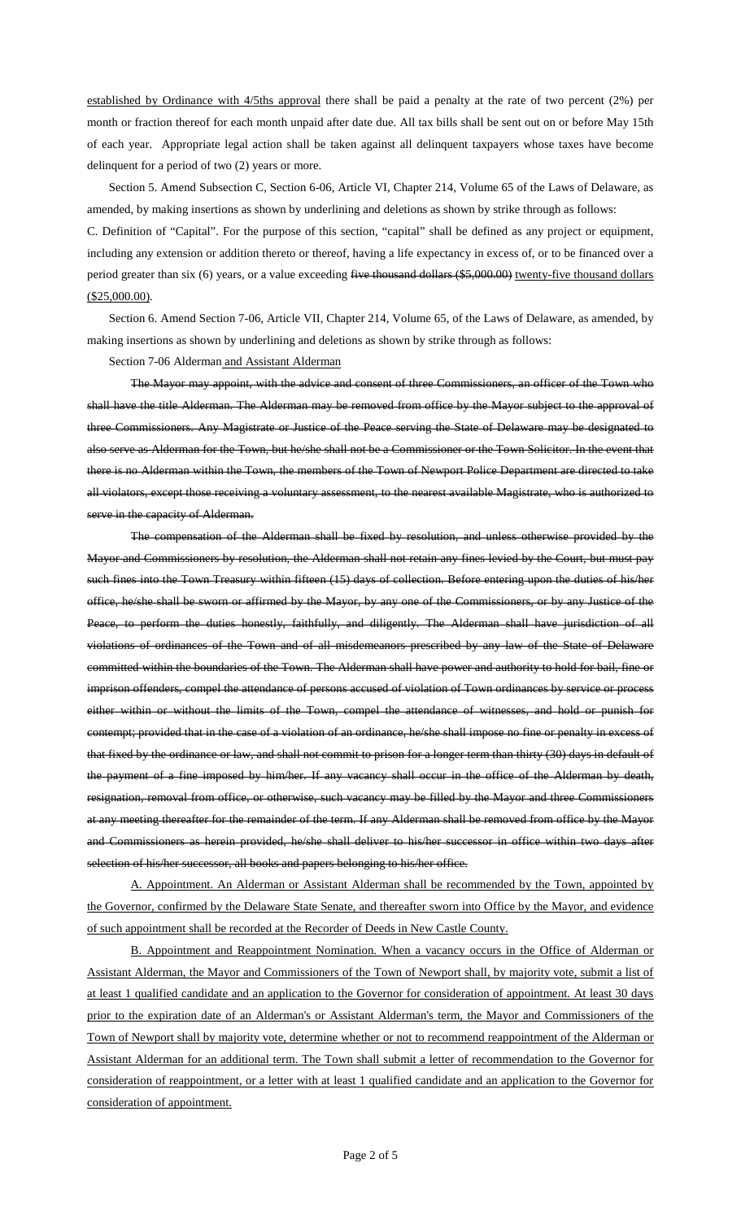established by Ordinance with 4/5ths approval there shall be paid a penalty at the rate of two percent (2%) per month or fraction thereof for each month unpaid after date due. All tax bills shall be sent out on or before May 15th of each year. Appropriate legal action shall be taken against all delinquent taxpayers whose taxes have become delinquent for a period of two (2) years or more.

Section 5. Amend Subsection C, Section 6-06, Article VI, Chapter 214, Volume 65 of the Laws of Delaware, as amended, by making insertions as shown by underlining and deletions as shown by strike through as follows:

C. Definition of "Capital". For the purpose of this section, "capital" shall be defined as any project or equipment, including any extension or addition thereto or thereof, having a life expectancy in excess of, or to be financed over a period greater than six (6) years, or a value exceeding five thousand dollars (\$5,000.00) twenty-five thousand dollars (\$25,000.00).

Section 6. Amend Section 7-06, Article VII, Chapter 214, Volume 65, of the Laws of Delaware, as amended, by making insertions as shown by underlining and deletions as shown by strike through as follows:

Section 7-06 Alderman and Assistant Alderman

The Mayor may appoint, with the advice and consent of three Commissioners, an officer of the Town who shall have the title Alderman. The Alderman may be removed from office by the Mayor subject to the approval of three Commissioners. Any Magistrate or Justice of the Peace serving the State of Delaware may be designated to also serve as Alderman for the Town, but he/she shall not be a Commissioner or the Town Solicitor. In the event that there is no Alderman within the Town, the members of the Town of Newport Police Department are directed to take all violators, except those receiving a voluntary assessment, to the nearest available Magistrate, who is authorized to serve in the capacity of Alderman.

The compensation of the Alderman shall be fixed by resolution, and unless otherwise provided by the Mayor and Commissioners by resolution, the Alderman shall not retain any fines levied by the Court, but must pay such fines into the Town Treasury within fifteen (15) days of collection. Before entering upon the duties of his/her office, he/she shall be sworn or affirmed by the Mayor, by any one of the Commissioners, or by any Justice of the Peace, to perform the duties honestly, faithfully, and diligently. The Alderman shall have jurisdiction of all violations of ordinances of the Town and of all misdemeanors prescribed by any law of the State of Delaware committed within the boundaries of the Town. The Alderman shall have power and authority to hold for bail, fine or imprison offenders, compel the attendance of persons accused of violation of Town ordinances by service or process either within or without the limits of the Town, compel the attendance of witnesses, and hold or punish for contempt; provided that in the case of a violation of an ordinance, he/she shall impose no fine or penalty in excess of that fixed by the ordinance or law, and shall not commit to prison for a longer term than thirty (30) days in default of the payment of a fine imposed by him/her. If any vacancy shall occur in the office of the Alderman by death, resignation, removal from office, or otherwise, such vacancy may be filled by the Mayor and three Commissioners at any meeting thereafter for the remainder of the term. If any Alderman shall be removed from office by the Mayor and Commissioners as herein provided, he/she shall deliver to his/her successor in office within two days after selection of his/her successor, all books and papers belonging to his/her office.

A. Appointment. An Alderman or Assistant Alderman shall be recommended by the Town, appointed by the Governor, confirmed by the Delaware State Senate, and thereafter sworn into Office by the Mayor, and evidence of such appointment shall be recorded at the Recorder of Deeds in New Castle County.

B. Appointment and Reappointment Nomination. When a vacancy occurs in the Office of Alderman or Assistant Alderman, the Mayor and Commissioners of the Town of Newport shall, by majority vote, submit a list of at least 1 qualified candidate and an application to the Governor for consideration of appointment. At least 30 days prior to the expiration date of an Alderman's or Assistant Alderman's term, the Mayor and Commissioners of the Town of Newport shall by majority vote, determine whether or not to recommend reappointment of the Alderman or Assistant Alderman for an additional term. The Town shall submit a letter of recommendation to the Governor for consideration of reappointment, or a letter with at least 1 qualified candidate and an application to the Governor for consideration of appointment.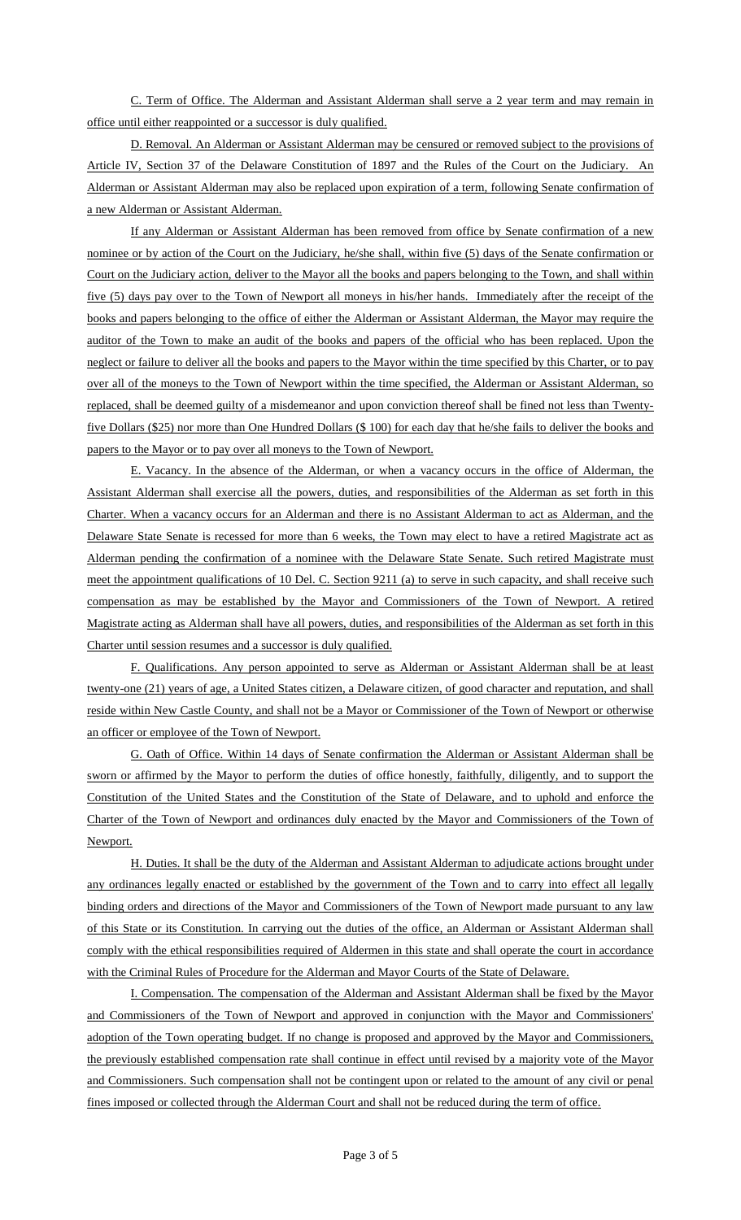C. Term of Office. The Alderman and Assistant Alderman shall serve a 2 year term and may remain in office until either reappointed or a successor is duly qualified.

D. Removal. An Alderman or Assistant Alderman may be censured or removed subject to the provisions of Article IV, Section 37 of the Delaware Constitution of 1897 and the Rules of the Court on the Judiciary. An Alderman or Assistant Alderman may also be replaced upon expiration of a term, following Senate confirmation of a new Alderman or Assistant Alderman.

If any Alderman or Assistant Alderman has been removed from office by Senate confirmation of a new nominee or by action of the Court on the Judiciary, he/she shall, within five (5) days of the Senate confirmation or Court on the Judiciary action, deliver to the Mayor all the books and papers belonging to the Town, and shall within five (5) days pay over to the Town of Newport all moneys in his/her hands. Immediately after the receipt of the books and papers belonging to the office of either the Alderman or Assistant Alderman, the Mayor may require the auditor of the Town to make an audit of the books and papers of the official who has been replaced. Upon the neglect or failure to deliver all the books and papers to the Mayor within the time specified by this Charter, or to pay over all of the moneys to the Town of Newport within the time specified, the Alderman or Assistant Alderman, so replaced, shall be deemed guilty of a misdemeanor and upon conviction thereof shall be fined not less than Twentyfive Dollars (\$25) nor more than One Hundred Dollars (\$ 100) for each day that he/she fails to deliver the books and papers to the Mayor or to pay over all moneys to the Town of Newport.

E. Vacancy. In the absence of the Alderman, or when a vacancy occurs in the office of Alderman, the Assistant Alderman shall exercise all the powers, duties, and responsibilities of the Alderman as set forth in this Charter. When a vacancy occurs for an Alderman and there is no Assistant Alderman to act as Alderman, and the Delaware State Senate is recessed for more than 6 weeks, the Town may elect to have a retired Magistrate act as Alderman pending the confirmation of a nominee with the Delaware State Senate. Such retired Magistrate must meet the appointment qualifications of 10 Del. C. Section 9211 (a) to serve in such capacity, and shall receive such compensation as may be established by the Mayor and Commissioners of the Town of Newport. A retired Magistrate acting as Alderman shall have all powers, duties, and responsibilities of the Alderman as set forth in this Charter until session resumes and a successor is duly qualified.

F. Qualifications. Any person appointed to serve as Alderman or Assistant Alderman shall be at least twenty-one (21) years of age, a United States citizen, a Delaware citizen, of good character and reputation, and shall reside within New Castle County, and shall not be a Mayor or Commissioner of the Town of Newport or otherwise an officer or employee of the Town of Newport.

G. Oath of Office. Within 14 days of Senate confirmation the Alderman or Assistant Alderman shall be sworn or affirmed by the Mayor to perform the duties of office honestly, faithfully, diligently, and to support the Constitution of the United States and the Constitution of the State of Delaware, and to uphold and enforce the Charter of the Town of Newport and ordinances duly enacted by the Mayor and Commissioners of the Town of Newport.

H. Duties. It shall be the duty of the Alderman and Assistant Alderman to adjudicate actions brought under any ordinances legally enacted or established by the government of the Town and to carry into effect all legally binding orders and directions of the Mayor and Commissioners of the Town of Newport made pursuant to any law of this State or its Constitution. In carrying out the duties of the office, an Alderman or Assistant Alderman shall comply with the ethical responsibilities required of Aldermen in this state and shall operate the court in accordance with the Criminal Rules of Procedure for the Alderman and Mayor Courts of the State of Delaware.

I. Compensation. The compensation of the Alderman and Assistant Alderman shall be fixed by the Mayor and Commissioners of the Town of Newport and approved in conjunction with the Mayor and Commissioners' adoption of the Town operating budget. If no change is proposed and approved by the Mayor and Commissioners, the previously established compensation rate shall continue in effect until revised by a majority vote of the Mayor and Commissioners. Such compensation shall not be contingent upon or related to the amount of any civil or penal fines imposed or collected through the Alderman Court and shall not be reduced during the term of office.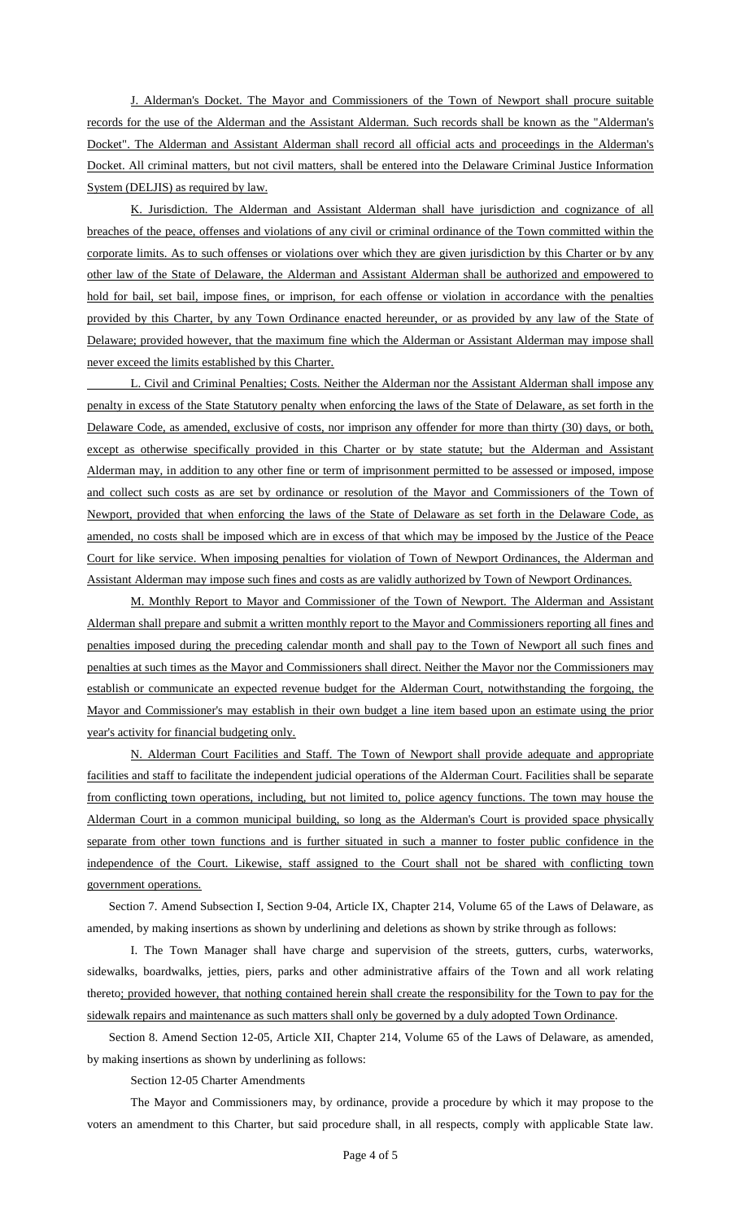J. Alderman's Docket. The Mayor and Commissioners of the Town of Newport shall procure suitable records for the use of the Alderman and the Assistant Alderman. Such records shall be known as the "Alderman's Docket". The Alderman and Assistant Alderman shall record all official acts and proceedings in the Alderman's Docket. All criminal matters, but not civil matters, shall be entered into the Delaware Criminal Justice Information System (DELJIS) as required by law.

K. Jurisdiction. The Alderman and Assistant Alderman shall have jurisdiction and cognizance of all breaches of the peace, offenses and violations of any civil or criminal ordinance of the Town committed within the corporate limits. As to such offenses or violations over which they are given jurisdiction by this Charter or by any other law of the State of Delaware, the Alderman and Assistant Alderman shall be authorized and empowered to hold for bail, set bail, impose fines, or imprison, for each offense or violation in accordance with the penalties provided by this Charter, by any Town Ordinance enacted hereunder, or as provided by any law of the State of Delaware; provided however, that the maximum fine which the Alderman or Assistant Alderman may impose shall never exceed the limits established by this Charter.

L. Civil and Criminal Penalties; Costs. Neither the Alderman nor the Assistant Alderman shall impose any penalty in excess of the State Statutory penalty when enforcing the laws of the State of Delaware, as set forth in the Delaware Code, as amended, exclusive of costs, nor imprison any offender for more than thirty (30) days, or both, except as otherwise specifically provided in this Charter or by state statute; but the Alderman and Assistant Alderman may, in addition to any other fine or term of imprisonment permitted to be assessed or imposed, impose and collect such costs as are set by ordinance or resolution of the Mayor and Commissioners of the Town of Newport, provided that when enforcing the laws of the State of Delaware as set forth in the Delaware Code, as amended, no costs shall be imposed which are in excess of that which may be imposed by the Justice of the Peace Court for like service. When imposing penalties for violation of Town of Newport Ordinances, the Alderman and Assistant Alderman may impose such fines and costs as are validly authorized by Town of Newport Ordinances.

M. Monthly Report to Mayor and Commissioner of the Town of Newport. The Alderman and Assistant Alderman shall prepare and submit a written monthly report to the Mayor and Commissioners reporting all fines and penalties imposed during the preceding calendar month and shall pay to the Town of Newport all such fines and penalties at such times as the Mayor and Commissioners shall direct. Neither the Mayor nor the Commissioners may establish or communicate an expected revenue budget for the Alderman Court, notwithstanding the forgoing, the Mayor and Commissioner's may establish in their own budget a line item based upon an estimate using the prior year's activity for financial budgeting only.

N. Alderman Court Facilities and Staff. The Town of Newport shall provide adequate and appropriate facilities and staff to facilitate the independent judicial operations of the Alderman Court. Facilities shall be separate from conflicting town operations, including, but not limited to, police agency functions. The town may house the Alderman Court in a common municipal building, so long as the Alderman's Court is provided space physically separate from other town functions and is further situated in such a manner to foster public confidence in the independence of the Court. Likewise, staff assigned to the Court shall not be shared with conflicting town government operations.

Section 7. Amend Subsection I, Section 9-04, Article IX, Chapter 214, Volume 65 of the Laws of Delaware, as amended, by making insertions as shown by underlining and deletions as shown by strike through as follows:

I. The Town Manager shall have charge and supervision of the streets, gutters, curbs, waterworks, sidewalks, boardwalks, jetties, piers, parks and other administrative affairs of the Town and all work relating thereto; provided however, that nothing contained herein shall create the responsibility for the Town to pay for the sidewalk repairs and maintenance as such matters shall only be governed by a duly adopted Town Ordinance.

Section 8. Amend Section 12-05, Article XII, Chapter 214, Volume 65 of the Laws of Delaware, as amended, by making insertions as shown by underlining as follows:

Section 12-05 Charter Amendments

The Mayor and Commissioners may, by ordinance, provide a procedure by which it may propose to the voters an amendment to this Charter, but said procedure shall, in all respects, comply with applicable State law.